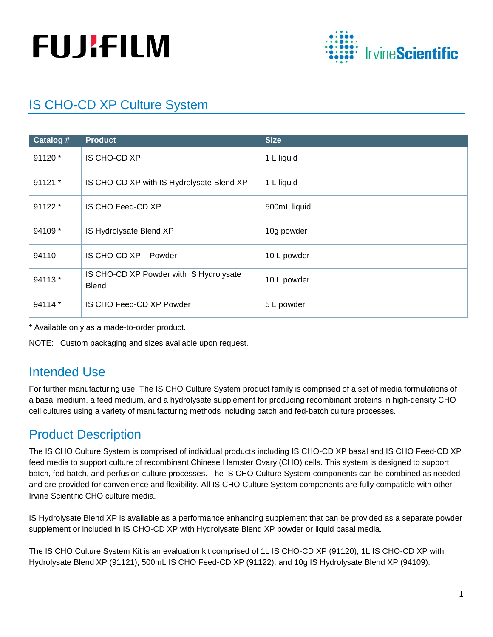# **FUJIFILM**



# IS CHO-CD XP Culture System

| Catalog # | <b>Product</b>                                          | <b>Size</b>  |
|-----------|---------------------------------------------------------|--------------|
| $91120*$  | IS CHO-CD XP                                            | 1 L liquid   |
| 91121 *   | IS CHO-CD XP with IS Hydrolysate Blend XP               | 1 L liquid   |
| $91122*$  | IS CHO Feed-CD XP                                       | 500mL liquid |
| 94109 *   | IS Hydrolysate Blend XP                                 | 10g powder   |
| 94110     | IS CHO-CD XP - Powder                                   | 10 L powder  |
| 94113 *   | IS CHO-CD XP Powder with IS Hydrolysate<br><b>Blend</b> | 10 L powder  |
| 94114 *   | IS CHO Feed-CD XP Powder                                | 5 L powder   |

\* Available only as a made-to-order product.

NOTE: Custom packaging and sizes available upon request.

## Intended Use

For further manufacturing use. The IS CHO Culture System product family is comprised of a set of media formulations of a basal medium, a feed medium, and a hydrolysate supplement for producing recombinant proteins in high-density CHO cell cultures using a variety of manufacturing methods including batch and fed-batch culture processes.

## Product Description

The IS CHO Culture System is comprised of individual products including IS CHO-CD XP basal and IS CHO Feed-CD XP feed media to support culture of recombinant Chinese Hamster Ovary (CHO) cells. This system is designed to support batch, fed-batch, and perfusion culture processes. The IS CHO Culture System components can be combined as needed and are provided for convenience and flexibility. All IS CHO Culture System components are fully compatible with other Irvine Scientific CHO culture media.

IS Hydrolysate Blend XP is available as a performance enhancing supplement that can be provided as a separate powder supplement or included in IS CHO-CD XP with Hydrolysate Blend XP powder or liquid basal media.

The IS CHO Culture System Kit is an evaluation kit comprised of 1L IS CHO-CD XP (91120), 1L IS CHO-CD XP with Hydrolysate Blend XP (91121), 500mL IS CHO Feed-CD XP (91122), and 10g IS Hydrolysate Blend XP (94109).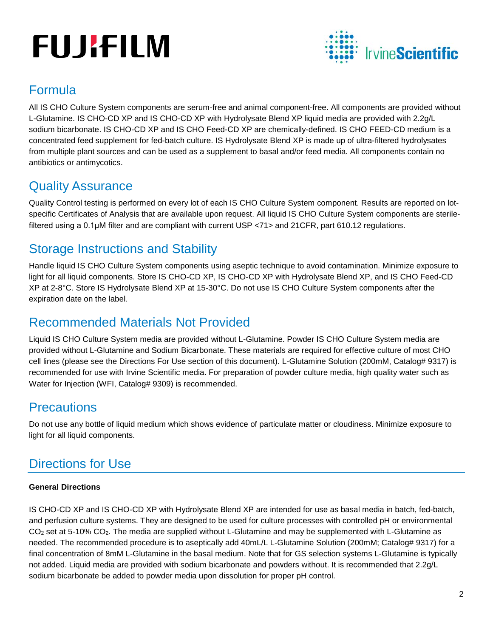# **FUJIFILM**



## Formula

All IS CHO Culture System components are serum-free and animal component-free. All components are provided without L-Glutamine. IS CHO-CD XP and IS CHO-CD XP with Hydrolysate Blend XP liquid media are provided with 2.2g/L sodium bicarbonate. IS CHO-CD XP and IS CHO Feed-CD XP are chemically-defined. IS CHO FEED-CD medium is a concentrated feed supplement for fed-batch culture. IS Hydrolysate Blend XP is made up of ultra-filtered hydrolysates from multiple plant sources and can be used as a supplement to basal and/or feed media. All components contain no antibiotics or antimycotics.

## Quality Assurance

Quality Control testing is performed on every lot of each IS CHO Culture System component. Results are reported on lotspecific Certificates of Analysis that are available upon request. All liquid IS CHO Culture System components are sterilefiltered using a 0.1μM filter and are compliant with current USP <71> and 21CFR, part 610.12 regulations.

## Storage Instructions and Stability

Handle liquid IS CHO Culture System components using aseptic technique to avoid contamination. Minimize exposure to light for all liquid components. Store IS CHO-CD XP, IS CHO-CD XP with Hydrolysate Blend XP, and IS CHO Feed-CD XP at 2-8°C. Store IS Hydrolysate Blend XP at 15-30°C. Do not use IS CHO Culture System components after the expiration date on the label.

## Recommended Materials Not Provided

Liquid IS CHO Culture System media are provided without L-Glutamine. Powder IS CHO Culture System media are provided without L-Glutamine and Sodium Bicarbonate. These materials are required for effective culture of most CHO cell lines (please see the Directions For Use section of this document). L-Glutamine Solution (200mM, Catalog# 9317) is recommended for use with Irvine Scientific media. For preparation of powder culture media, high quality water such as Water for Injection (WFI, Catalog# 9309) is recommended.

## **Precautions**

Do not use any bottle of liquid medium which shows evidence of particulate matter or cloudiness. Minimize exposure to light for all liquid components.

## Directions for Use

## **General Directions**

IS CHO-CD XP and IS CHO-CD XP with Hydrolysate Blend XP are intended for use as basal media in batch, fed-batch, and perfusion culture systems. They are designed to be used for culture processes with controlled pH or environmental CO2 set at 5-10% CO2. The media are supplied without L-Glutamine and may be supplemented with L-Glutamine as needed. The recommended procedure is to aseptically add 40mL/L L-Glutamine Solution (200mM; Catalog# 9317) for a final concentration of 8mM L-Glutamine in the basal medium. Note that for GS selection systems L-Glutamine is typically not added. Liquid media are provided with sodium bicarbonate and powders without. It is recommended that 2.2g/L sodium bicarbonate be added to powder media upon dissolution for proper pH control.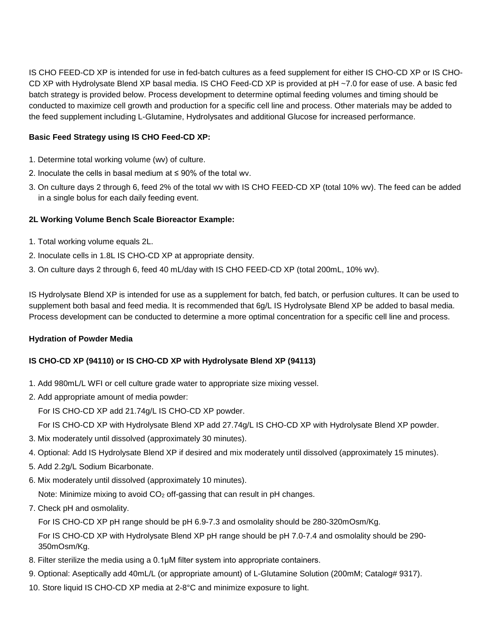IS CHO FEED-CD XP is intended for use in fed-batch cultures as a feed supplement for either IS CHO-CD XP or IS CHO-CD XP with Hydrolysate Blend XP basal media. IS CHO Feed-CD XP is provided at pH ~7.0 for ease of use. A basic fed batch strategy is provided below. Process development to determine optimal feeding volumes and timing should be conducted to maximize cell growth and production for a specific cell line and process. Other materials may be added to the feed supplement including L-Glutamine, Hydrolysates and additional Glucose for increased performance.

#### **Basic Feed Strategy using IS CHO Feed-CD XP:**

- 1. Determine total working volume (wv) of culture.
- 2. Inoculate the cells in basal medium at ≤ 90% of the total wv.
- 3. On culture days 2 through 6, feed 2% of the total wv with IS CHO FEED-CD XP (total 10% wv). The feed can be added in a single bolus for each daily feeding event.

#### **2L Working Volume Bench Scale Bioreactor Example:**

- 1. Total working volume equals 2L.
- 2. Inoculate cells in 1.8L IS CHO-CD XP at appropriate density.
- 3. On culture days 2 through 6, feed 40 mL/day with IS CHO FEED-CD XP (total 200mL, 10% wv).

IS Hydrolysate Blend XP is intended for use as a supplement for batch, fed batch, or perfusion cultures. It can be used to supplement both basal and feed media. It is recommended that 6g/L IS Hydrolysate Blend XP be added to basal media. Process development can be conducted to determine a more optimal concentration for a specific cell line and process.

#### **Hydration of Powder Media**

#### **IS CHO-CD XP (94110) or IS CHO-CD XP with Hydrolysate Blend XP (94113)**

- 1. Add 980mL/L WFI or cell culture grade water to appropriate size mixing vessel.
- 2. Add appropriate amount of media powder:

For IS CHO-CD XP add 21.74g/L IS CHO-CD XP powder.

For IS CHO-CD XP with Hydrolysate Blend XP add 27.74g/L IS CHO-CD XP with Hydrolysate Blend XP powder.

- 3. Mix moderately until dissolved (approximately 30 minutes).
- 4. Optional: Add IS Hydrolysate Blend XP if desired and mix moderately until dissolved (approximately 15 minutes).
- 5. Add 2.2g/L Sodium Bicarbonate.
- 6. Mix moderately until dissolved (approximately 10 minutes).

Note: Minimize mixing to avoid CO<sub>2</sub> off-gassing that can result in pH changes.

7. Check pH and osmolality.

For IS CHO-CD XP pH range should be pH 6.9-7.3 and osmolality should be 280-320mOsm/Kg.

For IS CHO-CD XP with Hydrolysate Blend XP pH range should be pH 7.0-7.4 and osmolality should be 290- 350mOsm/Kg.

- 8. Filter sterilize the media using a 0.1μM filter system into appropriate containers.
- 9. Optional: Aseptically add 40mL/L (or appropriate amount) of L-Glutamine Solution (200mM; Catalog# 9317).
- 10. Store liquid IS CHO-CD XP media at 2-8°C and minimize exposure to light.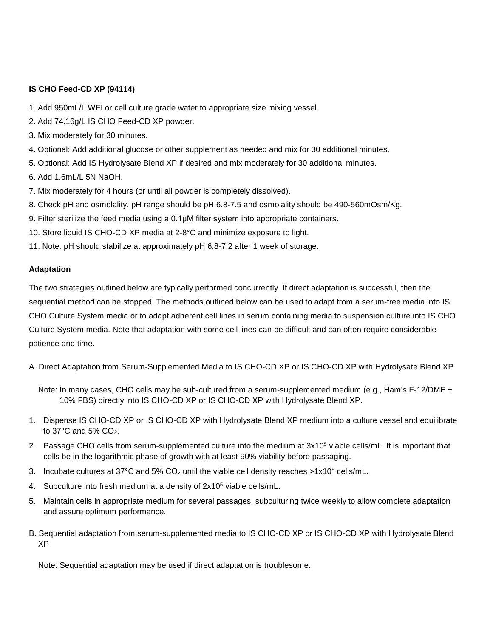#### **IS CHO Feed-CD XP (94114)**

- 1. Add 950mL/L WFI or cell culture grade water to appropriate size mixing vessel.
- 2. Add 74.16g/L IS CHO Feed-CD XP powder.
- 3. Mix moderately for 30 minutes.
- 4. Optional: Add additional glucose or other supplement as needed and mix for 30 additional minutes.
- 5. Optional: Add IS Hydrolysate Blend XP if desired and mix moderately for 30 additional minutes.
- 6. Add 1.6mL/L 5N NaOH.
- 7. Mix moderately for 4 hours (or until all powder is completely dissolved).
- 8. Check pH and osmolality. pH range should be pH 6.8-7.5 and osmolality should be 490-560mOsm/Kg.
- 9. Filter sterilize the feed media using a 0.1μM filter system into appropriate containers.
- 10. Store liquid IS CHO-CD XP media at 2-8°C and minimize exposure to light.
- 11. Note: pH should stabilize at approximately pH 6.8-7.2 after 1 week of storage.

#### **Adaptation**

The two strategies outlined below are typically performed concurrently. If direct adaptation is successful, then the sequential method can be stopped. The methods outlined below can be used to adapt from a serum-free media into IS CHO Culture System media or to adapt adherent cell lines in serum containing media to suspension culture into IS CHO Culture System media. Note that adaptation with some cell lines can be difficult and can often require considerable patience and time.

- A. Direct Adaptation from Serum-Supplemented Media to IS CHO-CD XP or IS CHO-CD XP with Hydrolysate Blend XP
	- Note: In many cases, CHO cells may be sub-cultured from a serum-supplemented medium (e.g., Ham's F-12/DME + 10% FBS) directly into IS CHO-CD XP or IS CHO-CD XP with Hydrolysate Blend XP.
- 1. Dispense IS CHO-CD XP or IS CHO-CD XP with Hydrolysate Blend XP medium into a culture vessel and equilibrate to 37°C and 5% CO2.
- 2. Passage CHO cells from serum-supplemented culture into the medium at 3x105 viable cells/mL. It is important that cells be in the logarithmic phase of growth with at least 90% viability before passaging.
- 3. Incubate cultures at 37°C and 5%  $CO<sub>2</sub>$  until the viable cell density reaches  $>1x10<sup>6</sup>$  cells/mL.
- 4. Subculture into fresh medium at a density of 2x105 viable cells/mL.
- 5. Maintain cells in appropriate medium for several passages, subculturing twice weekly to allow complete adaptation and assure optimum performance.
- B. Sequential adaptation from serum-supplemented media to IS CHO-CD XP or IS CHO-CD XP with Hydrolysate Blend XP

Note: Sequential adaptation may be used if direct adaptation is troublesome.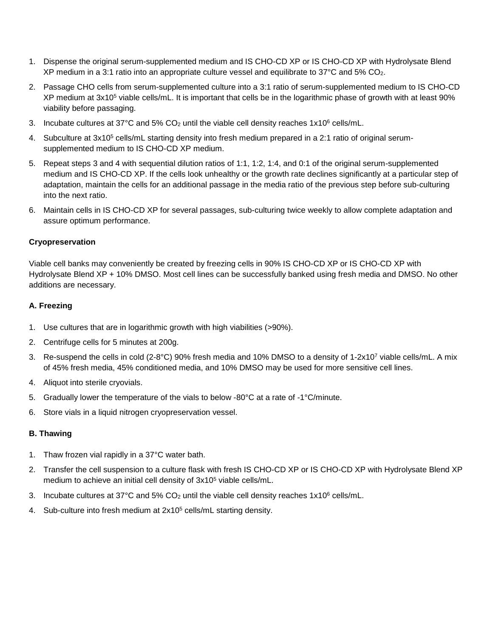- 1. Dispense the original serum-supplemented medium and IS CHO-CD XP or IS CHO-CD XP with Hydrolysate Blend XP medium in a 3:1 ratio into an appropriate culture vessel and equilibrate to 37°C and 5% CO2.
- 2. Passage CHO cells from serum-supplemented culture into a 3:1 ratio of serum-supplemented medium to IS CHO-CD XP medium at 3x105 viable cells/mL. It is important that cells be in the logarithmic phase of growth with at least 90% viability before passaging.
- 3. Incubate cultures at 37°C and 5% CO<sub>2</sub> until the viable cell density reaches  $1x10^6$  cells/mL.
- 4. Subculture at  $3x10^5$  cells/mL starting density into fresh medium prepared in a 2:1 ratio of original serumsupplemented medium to IS CHO-CD XP medium.
- 5. Repeat steps 3 and 4 with sequential dilution ratios of 1:1, 1:2, 1:4, and 0:1 of the original serum-supplemented medium and IS CHO-CD XP. If the cells look unhealthy or the growth rate declines significantly at a particular step of adaptation, maintain the cells for an additional passage in the media ratio of the previous step before sub-culturing into the next ratio.
- 6. Maintain cells in IS CHO-CD XP for several passages, sub-culturing twice weekly to allow complete adaptation and assure optimum performance.

#### **Cryopreservation**

Viable cell banks may conveniently be created by freezing cells in 90% IS CHO-CD XP or IS CHO-CD XP with Hydrolysate Blend XP + 10% DMSO. Most cell lines can be successfully banked using fresh media and DMSO. No other additions are necessary.

#### **A. Freezing**

- 1. Use cultures that are in logarithmic growth with high viabilities (>90%).
- 2. Centrifuge cells for 5 minutes at 200g.
- 3. Re-suspend the cells in cold (2-8°C) 90% fresh media and 10% DMSO to a density of 1-2x107 viable cells/mL. A mix of 45% fresh media, 45% conditioned media, and 10% DMSO may be used for more sensitive cell lines.
- 4. Aliquot into sterile cryovials.
- 5. Gradually lower the temperature of the vials to below -80°C at a rate of -1°C/minute.
- 6. Store vials in a liquid nitrogen cryopreservation vessel.

#### **B. Thawing**

- 1. Thaw frozen vial rapidly in a 37°C water bath.
- 2. Transfer the cell suspension to a culture flask with fresh IS CHO-CD XP or IS CHO-CD XP with Hydrolysate Blend XP medium to achieve an initial cell density of 3x105 viable cells/mL.
- 3. Incubate cultures at 37°C and 5% CO<sub>2</sub> until the viable cell density reaches  $1x10^6$  cells/mL.
- 4. Sub-culture into fresh medium at 2x10<sup>5</sup> cells/mL starting density.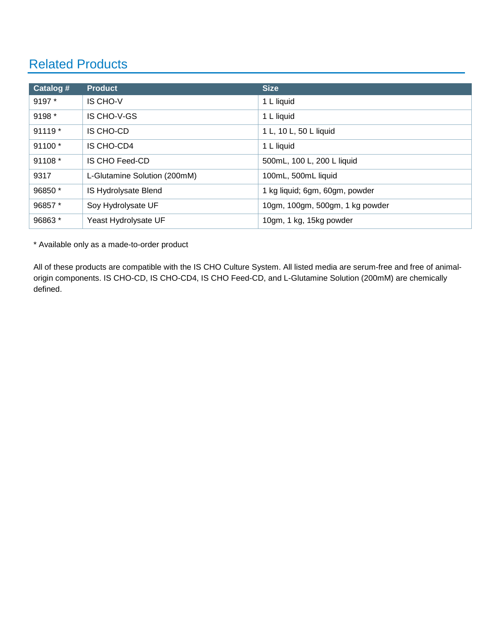## Related Products

| Catalog # | <b>Product</b>               | <b>Size</b>                     |
|-----------|------------------------------|---------------------------------|
| 9197 *    | <b>IS CHO-V</b>              | 1 L liquid                      |
| 9198 *    | IS CHO-V-GS                  | 1 L liquid                      |
| 91119 *   | IS CHO-CD                    | 1 L, 10 L, 50 L liquid          |
| 91100 *   | IS CHO-CD4                   | 1 L liquid                      |
| 91108 *   | <b>IS CHO Feed-CD</b>        | 500mL, 100 L, 200 L liquid      |
| 9317      | L-Glutamine Solution (200mM) | 100mL, 500mL liquid             |
| 96850 *   | IS Hydrolysate Blend         | 1 kg liquid; 6gm, 60gm, powder  |
| 96857*    | Soy Hydrolysate UF           | 10gm, 100gm, 500gm, 1 kg powder |
| 96863*    | Yeast Hydrolysate UF         | 10gm, 1 kg, 15kg powder         |

\* Available only as a made-to-order product

All of these products are compatible with the IS CHO Culture System. All listed media are serum-free and free of animalorigin components. IS CHO-CD, IS CHO-CD4, IS CHO Feed-CD, and L-Glutamine Solution (200mM) are chemically defined.